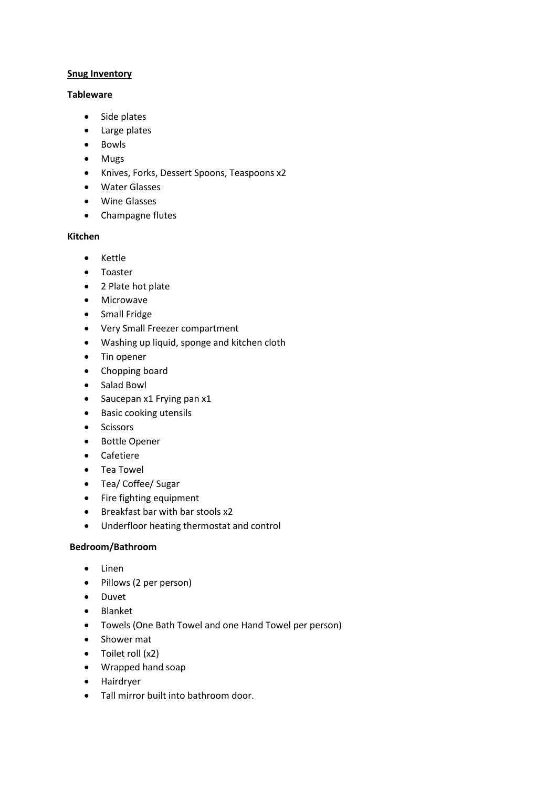#### **Snug Inventory**

### **Tableware**

- Side plates
- Large plates
- Bowls
- Mugs
- Knives, Forks, Dessert Spoons, Teaspoons x2
- Water Glasses
- Wine Glasses
- Champagne flutes

## **Kitchen**

- Kettle
- Toaster
- 2 Plate hot plate
- Microwave
- Small Fridge
- Very Small Freezer compartment
- Washing up liquid, sponge and kitchen cloth
- Tin opener
- Chopping board
- Salad Bowl
- Saucepan x1 Frying pan x1
- Basic cooking utensils
- Scissors
- Bottle Opener
- Cafetiere
- Tea Towel
- Tea/ Coffee/ Sugar
- Fire fighting equipment
- Breakfast bar with bar stools x2
- Underfloor heating thermostat and control

## **Bedroom/Bathroom**

- Linen
- Pillows (2 per person)
- Duvet
- Blanket
- Towels (One Bath Towel and one Hand Towel per person)
- Shower mat
- Toilet roll (x2)
- Wrapped hand soap
- Hairdryer
- Tall mirror built into bathroom door.